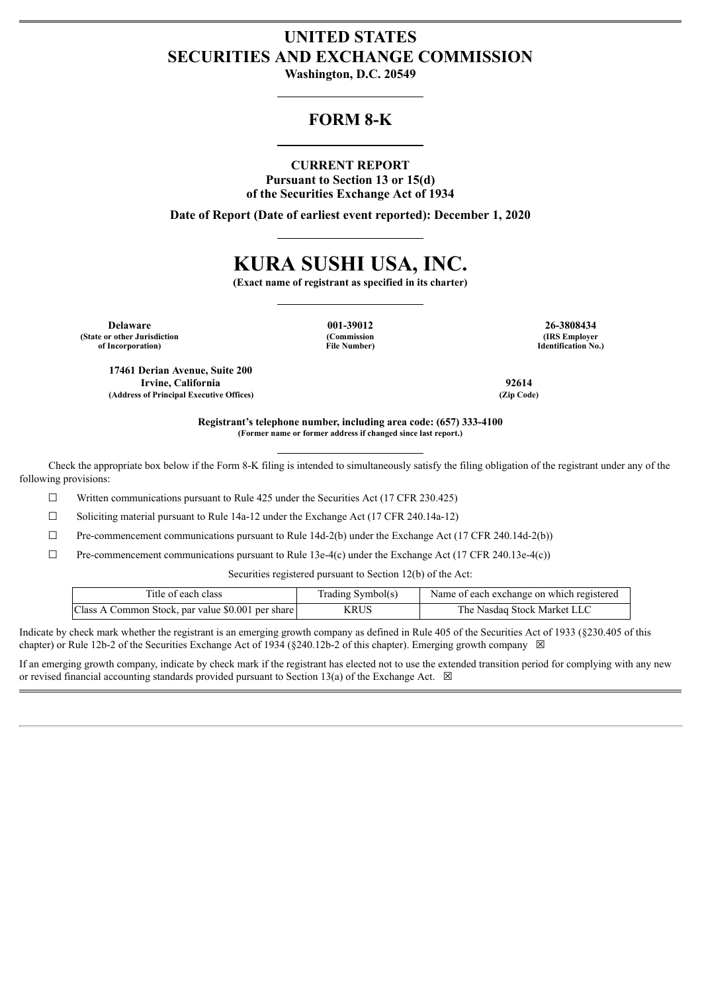# **UNITED STATES SECURITIES AND EXCHANGE COMMISSION**

**Washington, D.C. 20549**

## **FORM 8-K**

**CURRENT REPORT Pursuant to Section 13 or 15(d) of the Securities Exchange Act of 1934**

**Date of Report (Date of earliest event reported): December 1, 2020**

# **KURA SUSHI USA, INC.**

**(Exact name of registrant as specified in its charter)**

**Delaware 001-39012 26-3808434 (State or other Jurisdiction of Incorporation)**

**(Commission File Number)**

**(IRS Employer Identification No.)**

**17461 Derian Avenue, Suite 200 Irvine, California 92614 (Address of Principal Executive Offices) (Zip Code)**

**Registrant's telephone number, including area code: (657) 333-4100 (Former name or former address if changed since last report.)**

Check the appropriate box below if the Form 8-K filing is intended to simultaneously satisfy the filing obligation of the registrant under any of the following provisions:

 $\Box$  Written communications pursuant to Rule 425 under the Securities Act (17 CFR 230.425)

 $\Box$  Soliciting material pursuant to Rule 14a-12 under the Exchange Act (17 CFR 240.14a-12)

 $\Box$  Pre-commencement communications pursuant to Rule 14d-2(b) under the Exchange Act (17 CFR 240.14d-2(b))

 $\Box$  Pre-commencement communications pursuant to Rule 13e-4(c) under the Exchange Act (17 CFR 240.13e-4(c))

Securities registered pursuant to Section 12(b) of the Act:

| Title of each class                               | Trading Symbol(s) | Name of each exchange on which registered |
|---------------------------------------------------|-------------------|-------------------------------------------|
| Class A Common Stock, par value \$0.001 per share | KRUS              | The Nasdaq Stock Market LLC               |

Indicate by check mark whether the registrant is an emerging growth company as defined in Rule 405 of the Securities Act of 1933 (§230.405 of this chapter) or Rule 12b-2 of the Securities Exchange Act of 1934 (§240.12b-2 of this chapter). Emerging growth company  $\boxtimes$ 

If an emerging growth company, indicate by check mark if the registrant has elected not to use the extended transition period for complying with any new or revised financial accounting standards provided pursuant to Section 13(a) of the Exchange Act.  $\boxtimes$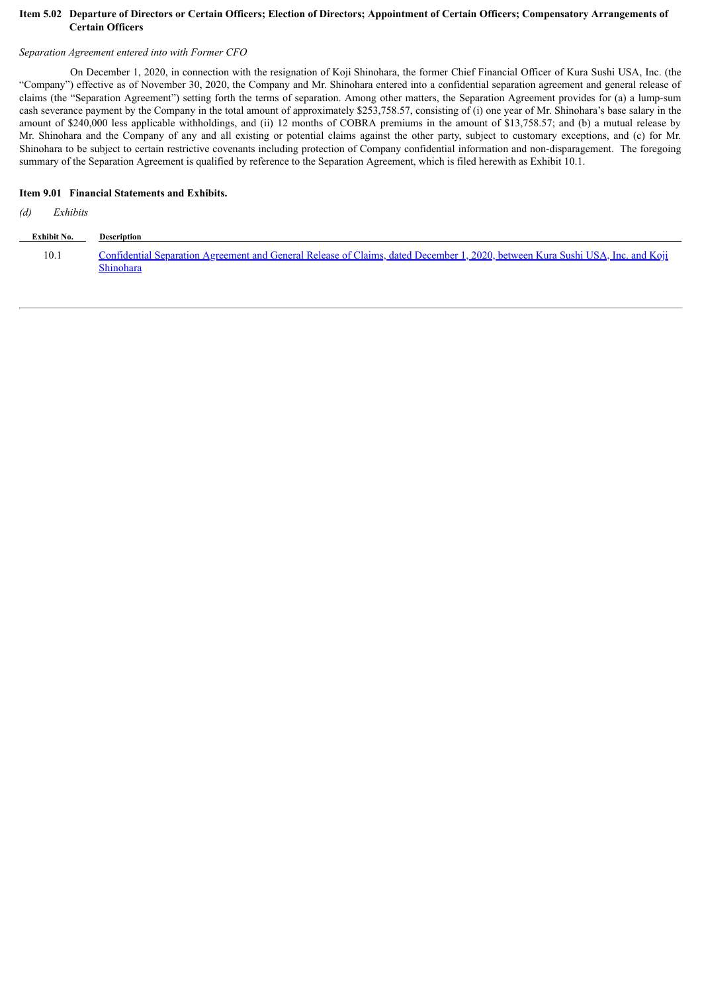#### Item 5.02 Departure of Directors or Certain Officers; Election of Directors; Appointment of Certain Officers; Compensatory Arrangements of **Certain Officers**

#### *Separation Agreement entered into with Former CFO*

On December 1, 2020, in connection with the resignation of Koji Shinohara, the former Chief Financial Officer of Kura Sushi USA, Inc. (the "Company") effective as of November 30, 2020, the Company and Mr. Shinohara entered into a confidential separation agreement and general release of claims (the "Separation Agreement") setting forth the terms of separation. Among other matters, the Separation Agreement provides for (a) a lump-sum cash severance payment by the Company in the total amount of approximately \$253,758.57, consisting of (i) one year of Mr. Shinohara's base salary in the amount of \$240,000 less applicable withholdings, and (ii) 12 months of COBRA premiums in the amount of \$13,758.57; and (b) a mutual release by Mr. Shinohara and the Company of any and all existing or potential claims against the other party, subject to customary exceptions, and (c) for Mr. Shinohara to be subject to certain restrictive covenants including protection of Company confidential information and non-disparagement. The foregoing summary of the Separation Agreement is qualified by reference to the Separation Agreement, which is filed herewith as Exhibit 10.1.

#### **Item 9.01 Financial Statements and Exhibits.**

#### *(d) Exhibits*

| Exhibit No. | <b>Description</b>                                                                                                                          |
|-------------|---------------------------------------------------------------------------------------------------------------------------------------------|
| 10.1        | Confidential Separation Agreement and General Release of Claims, dated December 1, 2020, between Kura Sushi USA, Inc. and Koji<br>Shinohara |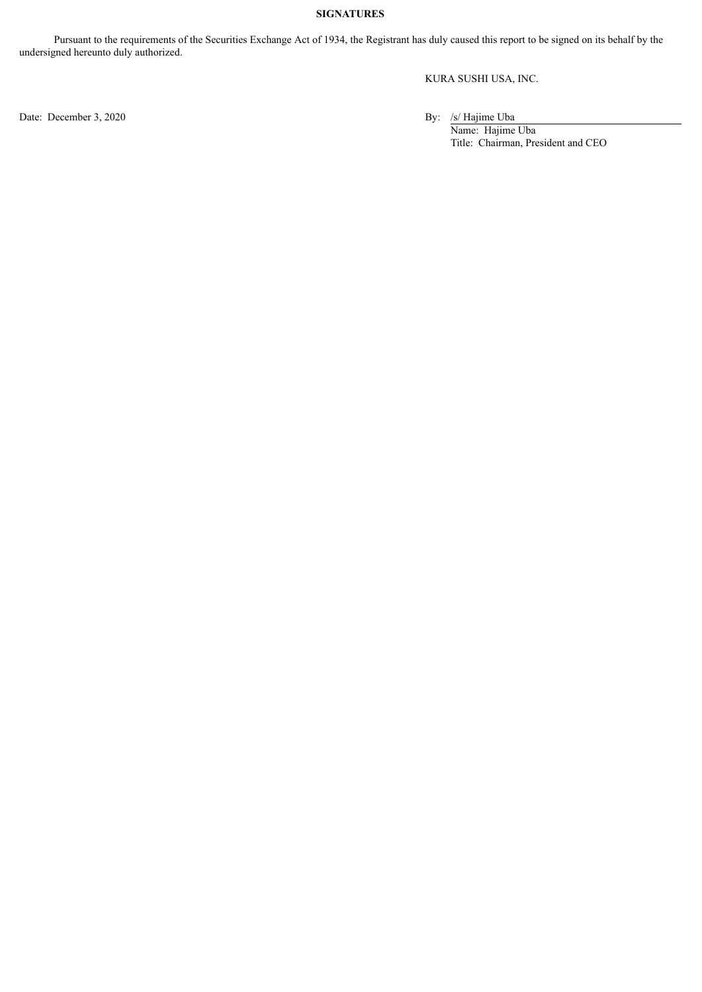#### **SIGNATURES**

Pursuant to the requirements of the Securities Exchange Act of 1934, the Registrant has duly caused this report to be signed on its behalf by the undersigned hereunto duly authorized.

KURA SUSHI USA, INC.

Name: Hajime Uba Title: Chairman, President and CEO

Date: December 3, 2020 By: /s/ Hajime Uba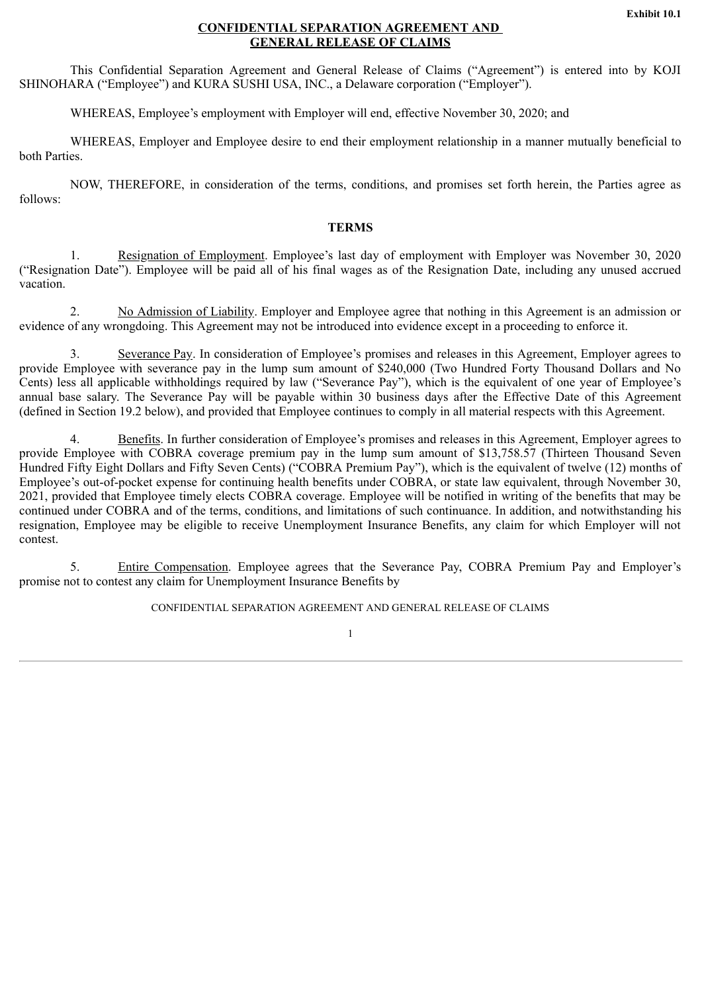#### **CONFIDENTIAL SEPARATION AGREEMENT AND GENERAL RELEASE OF CLAIMS**

<span id="page-3-0"></span>This Confidential Separation Agreement and General Release of Claims ("Agreement") is entered into by KOJI SHINOHARA ("Employee") and KURA SUSHI USA, INC., a Delaware corporation ("Employer").

WHEREAS, Employee's employment with Employer will end, effective November 30, 2020; and

WHEREAS, Employer and Employee desire to end their employment relationship in a manner mutually beneficial to both Parties.

NOW, THEREFORE, in consideration of the terms, conditions, and promises set forth herein, the Parties agree as follows:

#### **TERMS**

1. Resignation of Employment. Employee's last day of employment with Employer was November 30, 2020 ("Resignation Date"). Employee will be paid all of his final wages as of the Resignation Date, including any unused accrued vacation.

2. No Admission of Liability. Employer and Employee agree that nothing in this Agreement is an admission or evidence of any wrongdoing. This Agreement may not be introduced into evidence except in a proceeding to enforce it.

3. Severance Pay. In consideration of Employee's promises and releases in this Agreement, Employer agrees to provide Employee with severance pay in the lump sum amount of \$240,000 (Two Hundred Forty Thousand Dollars and No Cents) less all applicable withholdings required by law ("Severance Pay"), which is the equivalent of one year of Employee's annual base salary. The Severance Pay will be payable within 30 business days after the Effective Date of this Agreement (defined in Section 19.2 below), and provided that Employee continues to comply in all material respects with this Agreement.

4. Benefits. In further consideration of Employee's promises and releases in this Agreement, Employer agrees to provide Employee with COBRA coverage premium pay in the lump sum amount of \$13,758.57 (Thirteen Thousand Seven Hundred Fifty Eight Dollars and Fifty Seven Cents) ("COBRA Premium Pay"), which is the equivalent of twelve (12) months of Employee's out-of-pocket expense for continuing health benefits under COBRA, or state law equivalent, through November 30, 2021, provided that Employee timely elects COBRA coverage. Employee will be notified in writing of the benefits that may be continued under COBRA and of the terms, conditions, and limitations of such continuance. In addition, and notwithstanding his resignation, Employee may be eligible to receive Unemployment Insurance Benefits, any claim for which Employer will not contest.

5. Entire Compensation. Employee agrees that the Severance Pay, COBRA Premium Pay and Employer's promise not to contest any claim for Unemployment Insurance Benefits by

CONFIDENTIAL SEPARATION AGREEMENT AND GENERAL RELEASE OF CLAIMS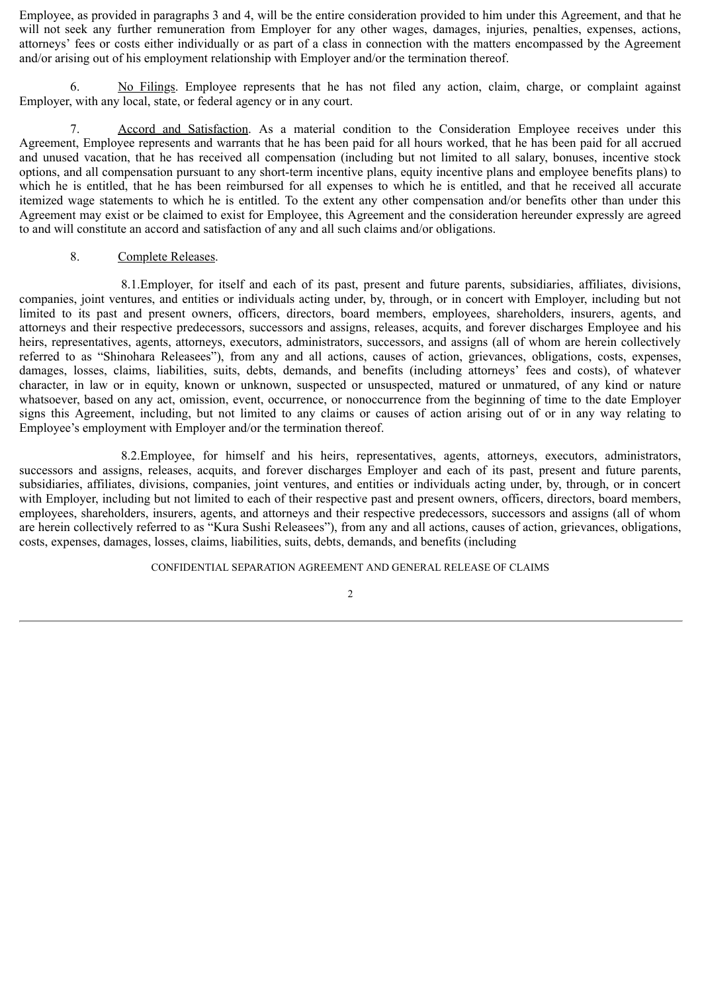Employee, as provided in paragraphs 3 and 4, will be the entire consideration provided to him under this Agreement, and that he will not seek any further remuneration from Employer for any other wages, damages, injuries, penalties, expenses, actions, attorneys' fees or costs either individually or as part of a class in connection with the matters encompassed by the Agreement and/or arising out of his employment relationship with Employer and/or the termination thereof.

6. No Filings. Employee represents that he has not filed any action, claim, charge, or complaint against Employer, with any local, state, or federal agency or in any court.

Accord and Satisfaction. As a material condition to the Consideration Employee receives under this Agreement, Employee represents and warrants that he has been paid for all hours worked, that he has been paid for all accrued and unused vacation, that he has received all compensation (including but not limited to all salary, bonuses, incentive stock options, and all compensation pursuant to any short-term incentive plans, equity incentive plans and employee benefits plans) to which he is entitled, that he has been reimbursed for all expenses to which he is entitled, and that he received all accurate itemized wage statements to which he is entitled. To the extent any other compensation and/or benefits other than under this Agreement may exist or be claimed to exist for Employee, this Agreement and the consideration hereunder expressly are agreed to and will constitute an accord and satisfaction of any and all such claims and/or obligations.

#### 8. Complete Releases.

8.1.Employer, for itself and each of its past, present and future parents, subsidiaries, affiliates, divisions, companies, joint ventures, and entities or individuals acting under, by, through, or in concert with Employer, including but not limited to its past and present owners, officers, directors, board members, employees, shareholders, insurers, agents, and attorneys and their respective predecessors, successors and assigns, releases, acquits, and forever discharges Employee and his heirs, representatives, agents, attorneys, executors, administrators, successors, and assigns (all of whom are herein collectively referred to as "Shinohara Releasees"), from any and all actions, causes of action, grievances, obligations, costs, expenses, damages, losses, claims, liabilities, suits, debts, demands, and benefits (including attorneys' fees and costs), of whatever character, in law or in equity, known or unknown, suspected or unsuspected, matured or unmatured, of any kind or nature whatsoever, based on any act, omission, event, occurrence, or nonoccurrence from the beginning of time to the date Employer signs this Agreement, including, but not limited to any claims or causes of action arising out of or in any way relating to Employee's employment with Employer and/or the termination thereof.

8.2.Employee, for himself and his heirs, representatives, agents, attorneys, executors, administrators, successors and assigns, releases, acquits, and forever discharges Employer and each of its past, present and future parents, subsidiaries, affiliates, divisions, companies, joint ventures, and entities or individuals acting under, by, through, or in concert with Employer, including but not limited to each of their respective past and present owners, officers, directors, board members, employees, shareholders, insurers, agents, and attorneys and their respective predecessors, successors and assigns (all of whom are herein collectively referred to as "Kura Sushi Releasees"), from any and all actions, causes of action, grievances, obligations, costs, expenses, damages, losses, claims, liabilities, suits, debts, demands, and benefits (including

#### CONFIDENTIAL SEPARATION AGREEMENT AND GENERAL RELEASE OF CLAIMS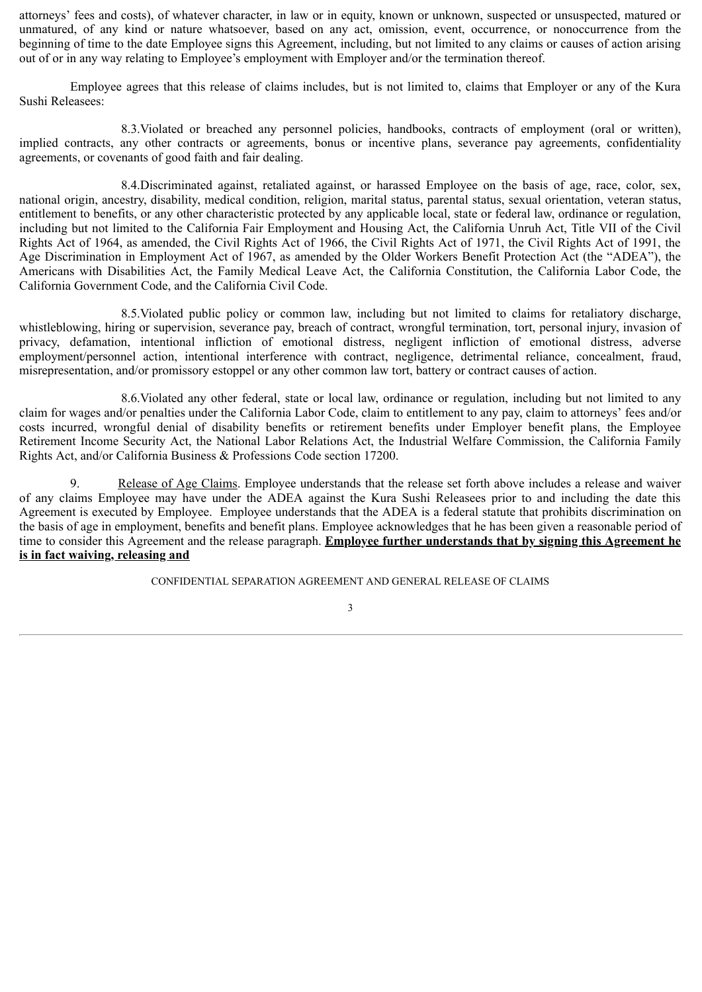attorneys' fees and costs), of whatever character, in law or in equity, known or unknown, suspected or unsuspected, matured or unmatured, of any kind or nature whatsoever, based on any act, omission, event, occurrence, or nonoccurrence from the beginning of time to the date Employee signs this Agreement, including, but not limited to any claims or causes of action arising out of or in any way relating to Employee's employment with Employer and/or the termination thereof.

Employee agrees that this release of claims includes, but is not limited to, claims that Employer or any of the Kura Sushi Releasees:

8.3.Violated or breached any personnel policies, handbooks, contracts of employment (oral or written), implied contracts, any other contracts or agreements, bonus or incentive plans, severance pay agreements, confidentiality agreements, or covenants of good faith and fair dealing.

8.4.Discriminated against, retaliated against, or harassed Employee on the basis of age, race, color, sex, national origin, ancestry, disability, medical condition, religion, marital status, parental status, sexual orientation, veteran status, entitlement to benefits, or any other characteristic protected by any applicable local, state or federal law, ordinance or regulation, including but not limited to the California Fair Employment and Housing Act, the California Unruh Act, Title VII of the Civil Rights Act of 1964, as amended, the Civil Rights Act of 1966, the Civil Rights Act of 1971, the Civil Rights Act of 1991, the Age Discrimination in Employment Act of 1967, as amended by the Older Workers Benefit Protection Act (the "ADEA"), the Americans with Disabilities Act, the Family Medical Leave Act, the California Constitution, the California Labor Code, the California Government Code, and the California Civil Code.

8.5.Violated public policy or common law, including but not limited to claims for retaliatory discharge, whistleblowing, hiring or supervision, severance pay, breach of contract, wrongful termination, tort, personal injury, invasion of privacy, defamation, intentional infliction of emotional distress, negligent infliction of emotional distress, adverse employment/personnel action, intentional interference with contract, negligence, detrimental reliance, concealment, fraud, misrepresentation, and/or promissory estoppel or any other common law tort, battery or contract causes of action.

8.6.Violated any other federal, state or local law, ordinance or regulation, including but not limited to any claim for wages and/or penalties under the California Labor Code, claim to entitlement to any pay, claim to attorneys' fees and/or costs incurred, wrongful denial of disability benefits or retirement benefits under Employer benefit plans, the Employee Retirement Income Security Act, the National Labor Relations Act, the Industrial Welfare Commission, the California Family Rights Act, and/or California Business & Professions Code section 17200.

9. Release of Age Claims. Employee understands that the release set forth above includes a release and waiver of any claims Employee may have under the ADEA against the Kura Sushi Releasees prior to and including the date this Agreement is executed by Employee. Employee understands that the ADEA is a federal statute that prohibits discrimination on the basis of age in employment, benefits and benefit plans. Employee acknowledges that he has been given a reasonable period of time to consider this Agreement and the release paragraph. **Employee further understands that by signing this Agreement he is in fact waiving, releasing and**

CONFIDENTIAL SEPARATION AGREEMENT AND GENERAL RELEASE OF CLAIMS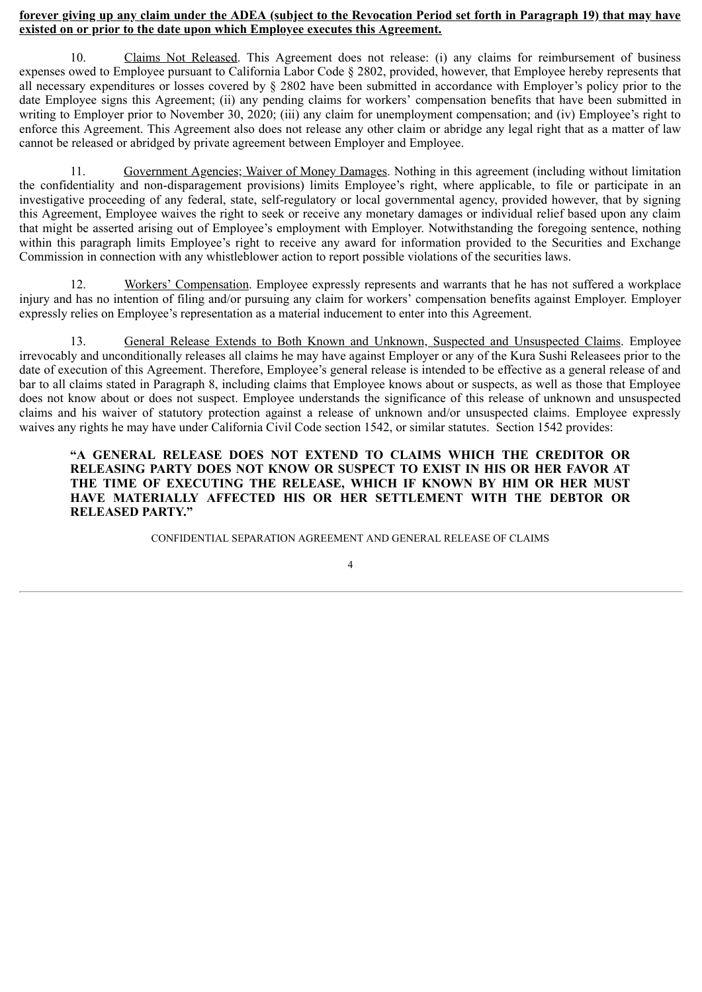#### **forever giving up any claim under the ADEA (subject to the Revocation Period set forth in Paragraph 19) that may have existed on or prior to the date upon which Employee executes this Agreement.**

10. Claims Not Released. This Agreement does not release: (i) any claims for reimbursement of business expenses owed to Employee pursuant to California Labor Code § 2802, provided, however, that Employee hereby represents that all necessary expenditures or losses covered by  $\S 2802$  have been submitted in accordance with Employer's policy prior to the date Employee signs this Agreement; (ii) any pending claims for workers' compensation benefits that have been submitted in writing to Employer prior to November 30, 2020; (iii) any claim for unemployment compensation; and (iv) Employee's right to enforce this Agreement. This Agreement also does not release any other claim or abridge any legal right that as a matter of law cannot be released or abridged by private agreement between Employer and Employee.

11. Government Agencies; Waiver of Money Damages. Nothing in this agreement (including without limitation the confidentiality and non-disparagement provisions) limits Employee's right, where applicable, to file or participate in an investigative proceeding of any federal, state, self-regulatory or local governmental agency, provided however, that by signing this Agreement, Employee waives the right to seek or receive any monetary damages or individual relief based upon any claim that might be asserted arising out of Employee's employment with Employer. Notwithstanding the foregoing sentence, nothing within this paragraph limits Employee's right to receive any award for information provided to the Securities and Exchange Commission in connection with any whistleblower action to report possible violations of the securities laws.

12. Workers' Compensation. Employee expressly represents and warrants that he has not suffered a workplace injury and has no intention of filing and/or pursuing any claim for workers' compensation benefits against Employer. Employer expressly relies on Employee's representation as a material inducement to enter into this Agreement.

13. General Release Extends to Both Known and Unknown, Suspected and Unsuspected Claims. Employee irrevocably and unconditionally releases all claims he may have against Employer or any of the Kura Sushi Releasees prior to the date of execution of this Agreement. Therefore, Employee's general release is intended to be effective as a general release of and bar to all claims stated in Paragraph 8, including claims that Employee knows about or suspects, as well as those that Employee does not know about or does not suspect. Employee understands the significance of this release of unknown and unsuspected claims and his waiver of statutory protection against a release of unknown and/or unsuspected claims. Employee expressly waives any rights he may have under California Civil Code section 1542, or similar statutes. Section 1542 provides:

#### **"A GENERAL RELEASE DOES NOT EXTEND TO CLAIMS WHICH THE CREDITOR OR RELEASING PARTY DOES NOT KNOW OR SUSPECT TO EXIST IN HIS OR HER FAVOR AT THE TIME OF EXECUTING THE RELEASE, WHICH IF KNOWN BY HIM OR HER MUST HAVE MATERIALLY AFFECTED HIS OR HER SETTLEMENT WITH THE DEBTOR OR RELEASED PARTY."**

CONFIDENTIAL SEPARATION AGREEMENT AND GENERAL RELEASE OF CLAIMS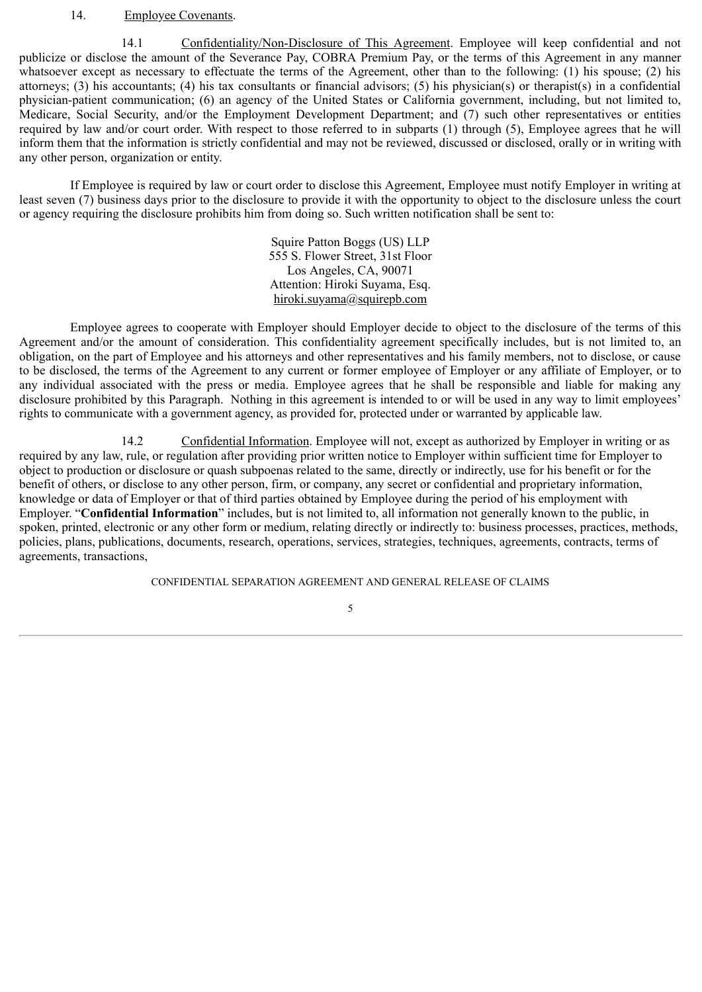#### 14. Employee Covenants.

14.1 Confidentiality/Non-Disclosure of This Agreement. Employee will keep confidential and not publicize or disclose the amount of the Severance Pay, COBRA Premium Pay, or the terms of this Agreement in any manner whatsoever except as necessary to effectuate the terms of the Agreement, other than to the following: (1) his spouse; (2) his attorneys; (3) his accountants; (4) his tax consultants or financial advisors; (5) his physician(s) or therapist(s) in a confidential physician-patient communication; (6) an agency of the United States or California government, including, but not limited to, Medicare, Social Security, and/or the Employment Development Department; and (7) such other representatives or entities required by law and/or court order. With respect to those referred to in subparts (1) through (5), Employee agrees that he will inform them that the information is strictly confidential and may not be reviewed, discussed or disclosed, orally or in writing with any other person, organization or entity.

If Employee is required by law or court order to disclose this Agreement, Employee must notify Employer in writing at least seven (7) business days prior to the disclosure to provide it with the opportunity to object to the disclosure unless the court or agency requiring the disclosure prohibits him from doing so. Such written notification shall be sent to:

> Squire Patton Boggs (US) LLP 555 S. Flower Street, 31st Floor Los Angeles, CA, 90071 Attention: Hiroki Suyama, Esq. hiroki.suyama@squirepb.com

Employee agrees to cooperate with Employer should Employer decide to object to the disclosure of the terms of this Agreement and/or the amount of consideration. This confidentiality agreement specifically includes, but is not limited to, an obligation, on the part of Employee and his attorneys and other representatives and his family members, not to disclose, or cause to be disclosed, the terms of the Agreement to any current or former employee of Employer or any affiliate of Employer, or to any individual associated with the press or media. Employee agrees that he shall be responsible and liable for making any disclosure prohibited by this Paragraph. Nothing in this agreement is intended to or will be used in any way to limit employees' rights to communicate with a government agency, as provided for, protected under or warranted by applicable law.

14.2 Confidential Information. Employee will not, except as authorized by Employer in writing or as required by any law, rule, or regulation after providing prior written notice to Employer within sufficient time for Employer to object to production or disclosure or quash subpoenas related to the same, directly or indirectly, use for his benefit or for the benefit of others, or disclose to any other person, firm, or company, any secret or confidential and proprietary information, knowledge or data of Employer or that of third parties obtained by Employee during the period of his employment with Employer. "**Confidential Information**" includes, but is not limited to, all information not generally known to the public, in spoken, printed, electronic or any other form or medium, relating directly or indirectly to: business processes, practices, methods, policies, plans, publications, documents, research, operations, services, strategies, techniques, agreements, contracts, terms of agreements, transactions,

CONFIDENTIAL SEPARATION AGREEMENT AND GENERAL RELEASE OF CLAIMS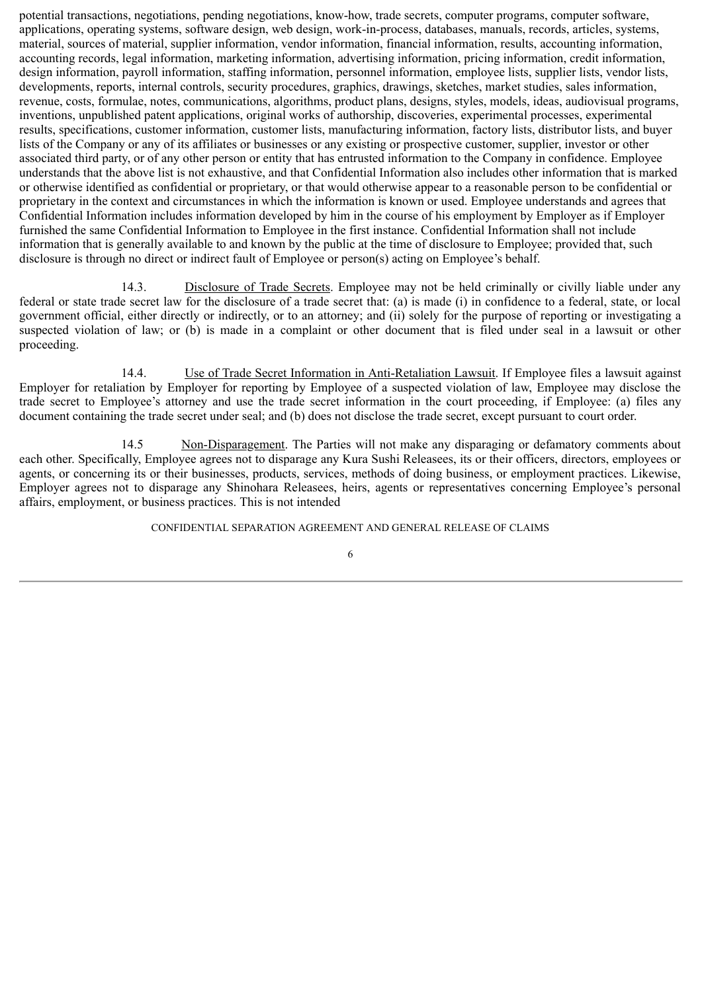potential transactions, negotiations, pending negotiations, know-how, trade secrets, computer programs, computer software, applications, operating systems, software design, web design, work-in-process, databases, manuals, records, articles, systems, material, sources of material, supplier information, vendor information, financial information, results, accounting information, accounting records, legal information, marketing information, advertising information, pricing information, credit information, design information, payroll information, staffing information, personnel information, employee lists, supplier lists, vendor lists, developments, reports, internal controls, security procedures, graphics, drawings, sketches, market studies, sales information, revenue, costs, formulae, notes, communications, algorithms, product plans, designs, styles, models, ideas, audiovisual programs, inventions, unpublished patent applications, original works of authorship, discoveries, experimental processes, experimental results, specifications, customer information, customer lists, manufacturing information, factory lists, distributor lists, and buyer lists of the Company or any of its affiliates or businesses or any existing or prospective customer, supplier, investor or other associated third party, or of any other person or entity that has entrusted information to the Company in confidence. Employee understands that the above list is not exhaustive, and that Confidential Information also includes other information that is marked or otherwise identified as confidential or proprietary, or that would otherwise appear to a reasonable person to be confidential or proprietary in the context and circumstances in which the information is known or used. Employee understands and agrees that Confidential Information includes information developed by him in the course of his employment by Employer as if Employer furnished the same Confidential Information to Employee in the first instance. Confidential Information shall not include information that is generally available to and known by the public at the time of disclosure to Employee; provided that, such disclosure is through no direct or indirect fault of Employee or person(s) acting on Employee's behalf.

14.3. Disclosure of Trade Secrets. Employee may not be held criminally or civilly liable under any federal or state trade secret law for the disclosure of a trade secret that: (a) is made (i) in confidence to a federal, state, or local government official, either directly or indirectly, or to an attorney; and (ii) solely for the purpose of reporting or investigating a suspected violation of law; or (b) is made in a complaint or other document that is filed under seal in a lawsuit or other proceeding.

14.4. Use of Trade Secret Information in Anti-Retaliation Lawsuit. If Employee files a lawsuit against Employer for retaliation by Employer for reporting by Employee of a suspected violation of law, Employee may disclose the trade secret to Employee's attorney and use the trade secret information in the court proceeding, if Employee: (a) files any document containing the trade secret under seal; and (b) does not disclose the trade secret, except pursuant to court order.

14.5 Non-Disparagement. The Parties will not make any disparaging or defamatory comments about each other. Specifically, Employee agrees not to disparage any Kura Sushi Releasees, its or their officers, directors, employees or agents, or concerning its or their businesses, products, services, methods of doing business, or employment practices. Likewise, Employer agrees not to disparage any Shinohara Releasees, heirs, agents or representatives concerning Employee's personal affairs, employment, or business practices. This is not intended

CONFIDENTIAL SEPARATION AGREEMENT AND GENERAL RELEASE OF CLAIMS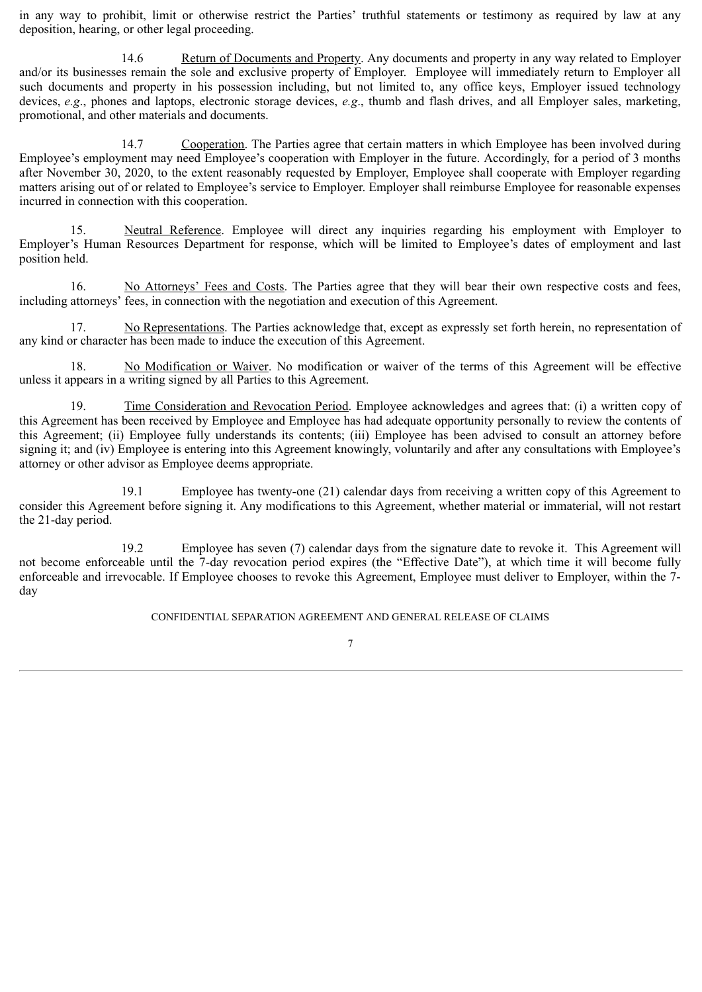in any way to prohibit, limit or otherwise restrict the Parties' truthful statements or testimony as required by law at any deposition, hearing, or other legal proceeding.

14.6 Return of Documents and Property. Any documents and property in any way related to Employer and/or its businesses remain the sole and exclusive property of Employer. Employee will immediately return to Employer all such documents and property in his possession including, but not limited to, any office keys, Employer issued technology devices, *e.g*., phones and laptops, electronic storage devices, *e.g*., thumb and flash drives, and all Employer sales, marketing, promotional, and other materials and documents.

14.7 Cooperation. The Parties agree that certain matters in which Employee has been involved during Employee's employment may need Employee's cooperation with Employer in the future. Accordingly, for a period of 3 months after November 30, 2020, to the extent reasonably requested by Employer, Employee shall cooperate with Employer regarding matters arising out of or related to Employee's service to Employer. Employer shall reimburse Employee for reasonable expenses incurred in connection with this cooperation.

15. Neutral Reference. Employee will direct any inquiries regarding his employment with Employer to Employer's Human Resources Department for response, which will be limited to Employee's dates of employment and last position held.

16. No Attorneys' Fees and Costs. The Parties agree that they will bear their own respective costs and fees, including attorneys' fees, in connection with the negotiation and execution of this Agreement.

17. No Representations. The Parties acknowledge that, except as expressly set forth herein, no representation of any kind or character has been made to induce the execution of this Agreement.

No Modification or Waiver. No modification or waiver of the terms of this Agreement will be effective unless it appears in a writing signed by all Parties to this Agreement.

19. Time Consideration and Revocation Period. Employee acknowledges and agrees that: (i) a written copy of this Agreement has been received by Employee and Employee has had adequate opportunity personally to review the contents of this Agreement; (ii) Employee fully understands its contents; (iii) Employee has been advised to consult an attorney before signing it; and (iv) Employee is entering into this Agreement knowingly, voluntarily and after any consultations with Employee's attorney or other advisor as Employee deems appropriate.

19.1 Employee has twenty-one (21) calendar days from receiving a written copy of this Agreement to consider this Agreement before signing it. Any modifications to this Agreement, whether material or immaterial, will not restart the 21-day period.

19.2 Employee has seven (7) calendar days from the signature date to revoke it. This Agreement will not become enforceable until the 7-day revocation period expires (the "Effective Date"), at which time it will become fully enforceable and irrevocable. If Employee chooses to revoke this Agreement, Employee must deliver to Employer, within the 7 day

CONFIDENTIAL SEPARATION AGREEMENT AND GENERAL RELEASE OF CLAIMS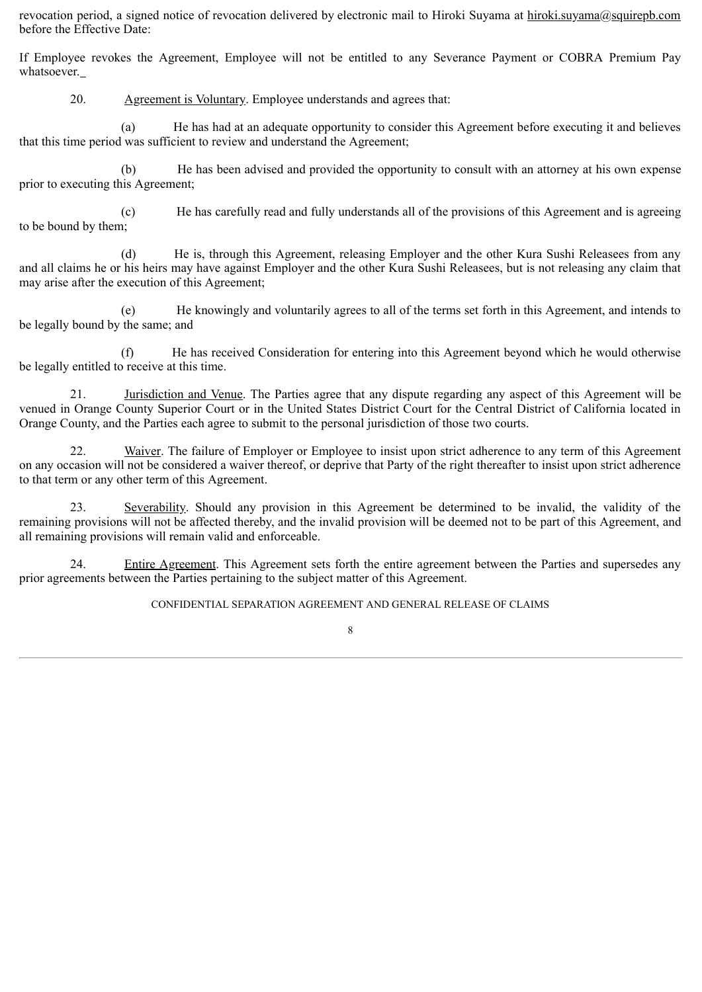revocation period, a signed notice of revocation delivered by electronic mail to Hiroki Suyama at hiroki.suyama@squirepb.com before the Effective Date:

If Employee revokes the Agreement, Employee will not be entitled to any Severance Payment or COBRA Premium Pay whatsoever.

20. Agreement is Voluntary. Employee understands and agrees that:

(a) He has had at an adequate opportunity to consider this Agreement before executing it and believes that this time period was sufficient to review and understand the Agreement;

(b) He has been advised and provided the opportunity to consult with an attorney at his own expense prior to executing this Agreement;

(c) He has carefully read and fully understands all of the provisions of this Agreement and is agreeing to be bound by them;

(d) He is, through this Agreement, releasing Employer and the other Kura Sushi Releasees from any and all claims he or his heirs may have against Employer and the other Kura Sushi Releasees, but is not releasing any claim that may arise after the execution of this Agreement;

(e) He knowingly and voluntarily agrees to all of the terms set forth in this Agreement, and intends to be legally bound by the same; and

(f) He has received Consideration for entering into this Agreement beyond which he would otherwise be legally entitled to receive at this time.

21. Jurisdiction and Venue. The Parties agree that any dispute regarding any aspect of this Agreement will be venued in Orange County Superior Court or in the United States District Court for the Central District of California located in Orange County, and the Parties each agree to submit to the personal jurisdiction of those two courts.

22. Waiver. The failure of Employer or Employee to insist upon strict adherence to any term of this Agreement on any occasion will not be considered a waiver thereof, or deprive that Party of the right thereafter to insist upon strict adherence to that term or any other term of this Agreement.

23. Severability. Should any provision in this Agreement be determined to be invalid, the validity of the remaining provisions will not be affected thereby, and the invalid provision will be deemed not to be part of this Agreement, and all remaining provisions will remain valid and enforceable.

24. Entire Agreement. This Agreement sets forth the entire agreement between the Parties and supersedes any prior agreements between the Parties pertaining to the subject matter of this Agreement.

CONFIDENTIAL SEPARATION AGREEMENT AND GENERAL RELEASE OF CLAIMS